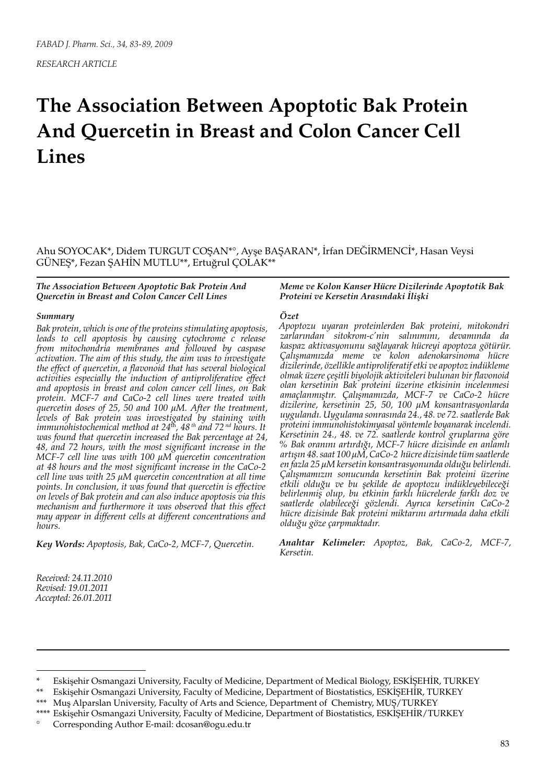*RESEARCH ARTICLE*

# **The Association Between Apoptotic Bak Protein And Quercetin in Breast and Colon Cancer Cell Lines**

Ahu SOYOCAK\*, Didem TURGUT COŞAN\*°, Ayşe BAŞARAN\*, İrfan DEĞİRMENCİ\*, Hasan Veysi GÜNEŞ\*, Fezan ŞAHİN MUTLU\*\*, Ertuğrul ÇOLAK\*\*

### *The Association Between Apoptotic Bak Protein And Quercetin in Breast and Colon Cancer Cell Lines*

## *Summary*

*Bak protein, which is one of the proteins stimulating apoptosis, leads to cell apoptosis by causing cytochrome c release from mitochondria membranes and followed by caspase activation. The aim of this study, the aim was to investigate the effect of quercetin, a flavonoid that has several biological activities especially the induction of antiproliferative effect and apoptosis in breast and colon cancer cell lines, on Bak protein. MCF-7 and CaCo-2 cell lines were treated with quercetin doses of 25, 50 and 100 µM. After the treatment, levels of Bak protein was investigated by staining with immunohistochemical method at 24*th*, 48 th and 72 nd hours. It was found that quercetin increased the Bak percentage at 24, 48, and 72 hours, with the most significant increase in the MCF-7 cell line was with 100 µM quercetin concentration at 48 hours and the most significant increase in the CaCo-2 cell line was with 25 µM quercetin concentration at all time points. In conclusion, it was found that quercetin is effective on levels of Bak protein and can also induce apoptosis via this mechanism and furthermore it was observed that this effect may appear in different cells at different concentrations and hours.* 

*Key Words: Apoptosis, Bak, CaCo-2, MCF-7, Quercetin.*

*Received: 24.11.2010 Revised: 19.01.2011 Accepted: 26.01.2011*

### *Meme ve Kolon Kanser Hücre Dizilerinde Apoptotik Bak Proteini ve Kersetin Arasındaki İlişki*

## *Özet*

*Apoptozu uyaran proteinlerden Bak proteini, mitokondri zarlarından sitokrom-c'nin salınımını, devamında da kaspaz aktivasyonunu sağlayarak hücreyi apoptoza götürür. Çalışmamızda meme ve kolon adenokarsinoma hücre dizilerinde, özellikle antiproliferatif etki ve apoptoz indükleme olmak üzere çeşitli biyolojik aktiviteleri bulunan bir flavonoid olan kersetinin Bak proteini üzerine etkisinin incelenmesi amaçlanmıştır. Çalışmamızda, MCF-7 ve CaCo-2 hücre dizilerine, kersetinin 25, 50, 100 µM konsantrasyonlarda uygulandı. Uygulama sonrasında 24., 48. ve 72. saatlerde Bak proteini immunohistokimyasal yöntemle boyanarak incelendi. Kersetinin 24., 48. ve 72. saatlerde kontrol gruplarına göre % Bak oranını artırdığı, MCF-7 hücre dizisinde en anlamlı artışın 48. saat 100 µM, CaCo-2 hücre dizisinde tüm saatlerde en fazla 25 µM kersetin konsantrasyonunda olduğu belirlendi. Çalışmamızın sonucunda kersetinin Bak proteini üzerine etkili olduğu ve bu şekilde de apoptozu indükleyebileceği belirlenmiş olup, bu etkinin farklı hücrelerde farklı doz ve saatlerde olabileceği gözlendi. Ayrıca kersetinin CaCo-2 hücre dizisinde Bak proteini miktarını artırmada daha etkili olduğu göze çarpmaktadır.* 

*Anahtar Kelimeler: Apoptoz, Bak, CaCo-2, MCF-7, Kersetin.* 

\*\* Eskişehir Osmangazi University, Faculty of Medicine, Department of Biostatistics, ESKİŞEHİR, TURKEY

<sup>\*</sup> Eskişehir Osmangazi University, Faculty of Medicine, Department of Medical Biology, ESKİŞEHİR, TURKEY

Muş Alparslan University, Faculty of Arts and Science, Department of Chemistry, MUŞ/TURKEY

<sup>\*\*\*\*</sup> Eskişehir Osmangazi University, Faculty of Medicine, Department of Biostatistics, ESKİŞEHİR/TURKEY

<sup>°</sup> Corresponding Author E-mail: dcosan@ogu.edu.tr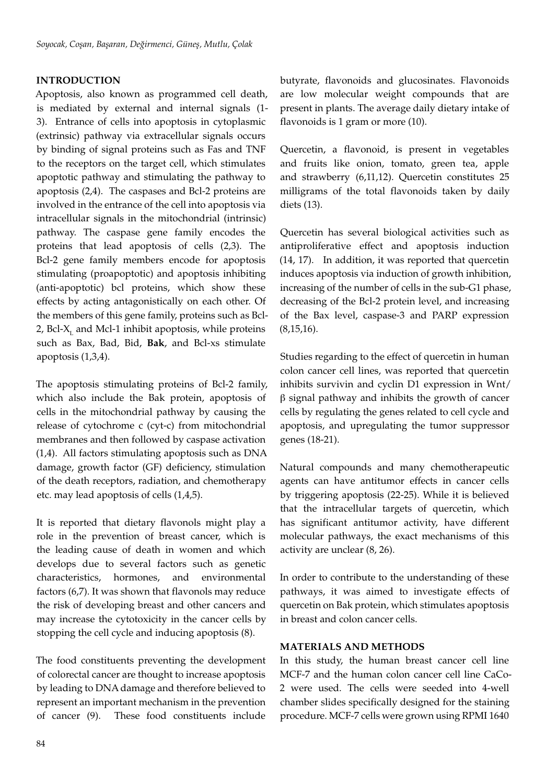# **INTRODUCTION**

Apoptosis, also known as programmed cell death, is mediated by external and internal signals (1- 3). Entrance of cells into apoptosis in cytoplasmic (extrinsic) pathway via extracellular signals occurs by binding of signal proteins such as Fas and TNF to the receptors on the target cell, which stimulates apoptotic pathway and stimulating the pathway to apoptosis (2,4). The caspases and Bcl-2 proteins are involved in the entrance of the cell into apoptosis via intracellular signals in the mitochondrial (intrinsic) pathway. The caspase gene family encodes the proteins that lead apoptosis of cells (2,3). The Bcl-2 gene family members encode for apoptosis stimulating (proapoptotic) and apoptosis inhibiting (anti-apoptotic) bcl proteins, which show these effects by acting antagonistically on each other. Of the members of this gene family, proteins such as Bcl-2, Bcl-X<sub>1</sub> and Mcl-1 inhibit apoptosis, while proteins such as Bax, Bad, Bid, **Bak**, and Bcl-xs stimulate apoptosis (1,3,4).

The apoptosis stimulating proteins of Bcl-2 family, which also include the Bak protein, apoptosis of cells in the mitochondrial pathway by causing the release of cytochrome c (cyt-c) from mitochondrial membranes and then followed by caspase activation (1,4). All factors stimulating apoptosis such as DNA damage, growth factor (GF) deficiency, stimulation of the death receptors, radiation, and chemotherapy etc. may lead apoptosis of cells (1,4,5).

It is reported that dietary flavonols might play a role in the prevention of breast cancer, which is the leading cause of death in women and which develops due to several factors such as genetic characteristics, hormones, and environmental factors (6,7). It was shown that flavonols may reduce the risk of developing breast and other cancers and may increase the cytotoxicity in the cancer cells by stopping the cell cycle and inducing apoptosis (8).

The food constituents preventing the development of colorectal cancer are thought to increase apoptosis by leading to DNA damage and therefore believed to represent an important mechanism in the prevention of cancer (9). These food constituents include butyrate, flavonoids and glucosinates. Flavonoids are low molecular weight compounds that are present in plants. The average daily dietary intake of flavonoids is 1 gram or more (10).

Quercetin, a flavonoid, is present in vegetables and fruits like onion, tomato, green tea, apple and strawberry (6,11,12). Quercetin constitutes 25 milligrams of the total flavonoids taken by daily diets (13).

Quercetin has several biological activities such as antiproliferative effect and apoptosis induction (14, 17). In addition, it was reported that quercetin induces apoptosis via induction of growth inhibition, increasing of the number of cells in the sub-G1 phase, decreasing of the Bcl-2 protein level, and increasing of the Bax level, caspase-3 and PARP expression  $(8.15.16).$ 

Studies regarding to the effect of quercetin in human colon cancer cell lines, was reported that quercetin inhibits survivin and cyclin D1 expression in Wnt/ β signal pathway and inhibits the growth of cancer cells by regulating the genes related to cell cycle and apoptosis, and upregulating the tumor suppressor genes (18-21).

Natural compounds and many chemotherapeutic agents can have antitumor effects in cancer cells by triggering apoptosis (22-25). While it is believed that the intracellular targets of quercetin, which has significant antitumor activity, have different molecular pathways, the exact mechanisms of this activity are unclear (8, 26).

In order to contribute to the understanding of these pathways, it was aimed to investigate effects of quercetin on Bak protein, which stimulates apoptosis in breast and colon cancer cells.

# **MATERIALS AND METHODS**

In this study, the human breast cancer cell line MCF-7 and the human colon cancer cell line CaCo-2 were used. The cells were seeded into 4-well chamber slides specifically designed for the staining procedure. MCF-7 cells were grown using RPMI 1640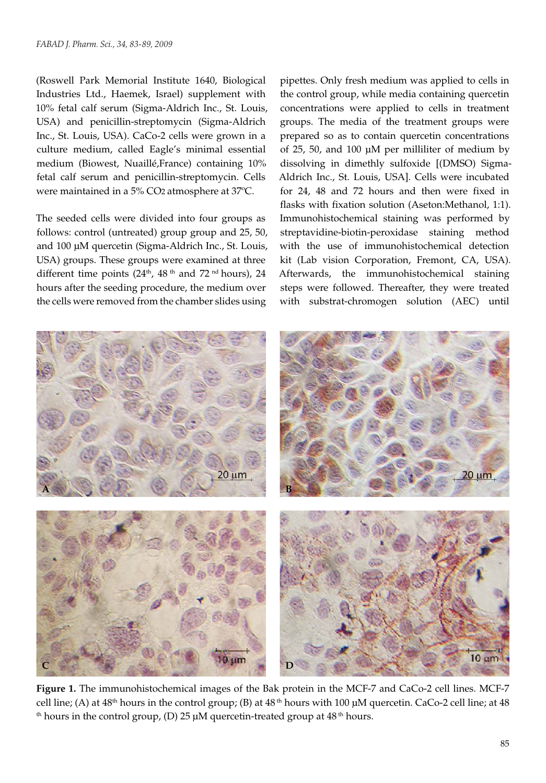(Roswell Park Memorial Institute 1640, Biological Industries Ltd., Haemek, Israel) supplement with 10% fetal calf serum (Sigma-Aldrich Inc., St. Louis, USA) and penicillin-streptomycin (Sigma-Aldrich Inc., St. Louis, USA). CaCo-2 cells were grown in a culture medium, called Eagle's minimal essential medium (Biowest, Nuaillé,France) containing 10% fetal calf serum and penicillin-streptomycin. Cells were maintained in a 5% CO2 atmosphere at 37ºC.

The seeded cells were divided into four groups as follows: control (untreated) group group and 25, 50, and 100 µM quercetin (Sigma-Aldrich Inc., St. Louis, USA) groups. These groups were examined at three different time points  $(24<sup>th</sup>, 48<sup>th</sup>$  and  $72<sup>nd</sup>$  hours), 24 hours after the seeding procedure, the medium over the cells were removed from the chamber slides using

pipettes. Only fresh medium was applied to cells in the control group, while media containing quercetin concentrations were applied to cells in treatment groups. The media of the treatment groups were prepared so as to contain quercetin concentrations of 25, 50, and 100 µM per milliliter of medium by dissolving in dimethly sulfoxide [(DMSO) Sigma-Aldrich Inc., St. Louis, USA]. Cells were incubated for 24, 48 and 72 hours and then were fixed in flasks with fixation solution (Aseton:Methanol, 1:1). Immunohistochemical staining was performed by streptavidine-biotin-peroxidase staining method with the use of immunohistochemical detection kit (Lab vision Corporation, Fremont, CA, USA). Afterwards, the immunohistochemical staining steps were followed. Thereafter, they were treated with substrat-chromogen solution (AEC) until



**Figure 1.** The immunohistochemical images of the Bak protein in the MCF-7 and CaCo-2 cell lines. MCF-7 cell line; (A) at  $48<sup>th</sup>$  hours in the control group; (B) at  $48<sup>th</sup>$  hours with 100  $\mu$ M quercetin. CaCo-2 cell line; at  $48$ <sup>th</sup> hours in the control group, (D) 25  $\mu$ M quercetin-treated group at 48<sup>th</sup> hours.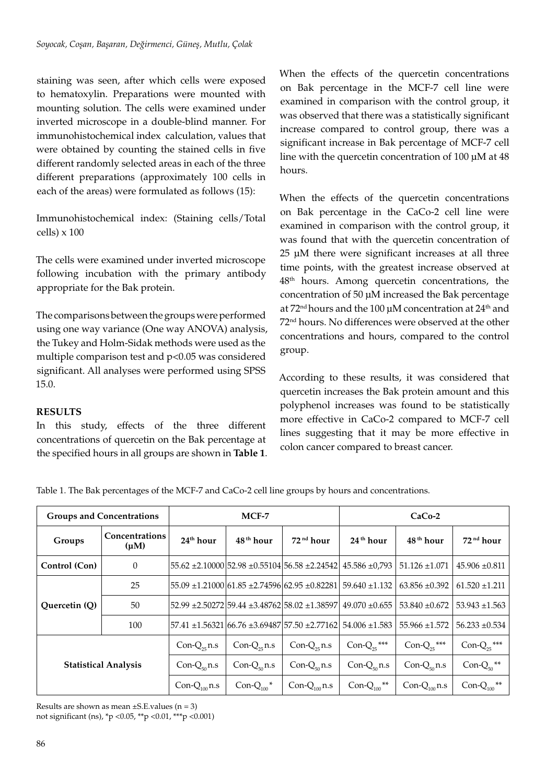staining was seen, after which cells were exposed to hematoxylin. Preparations were mounted with mounting solution. The cells were examined under inverted microscope in a double-blind manner. For immunohistochemical index calculation, values that were obtained by counting the stained cells in five different randomly selected areas in each of the three different preparations (approximately 100 cells in each of the areas) were formulated as follows (15):

Immunohistochemical index: (Staining cells/Total cells)  $\times$  100

The cells were examined under inverted microscope following incubation with the primary antibody appropriate for the Bak protein.

The comparisons between the groups were performed using one way variance (One way ANOVA) analysis, the Tukey and Holm-Sidak methods were used as the multiple comparison test and  $p<0.05$  was considered significant. All analyses were performed using SPSS 15.0.

# **RESULTS**

In this study, effects of the three different concentrations of quercetin on the Bak percentage at the specified hours in all groups are shown in **Table 1**. When the effects of the quercetin concentrations on Bak percentage in the MCF-7 cell line were examined in comparison with the control group, it was observed that there was a statistically significant increase compared to control group, there was a significant increase in Bak percentage of MCF-7 cell line with the quercetin concentration of 100 µM at 48 hours.

When the effects of the quercetin concentrations on Bak percentage in the CaCo-2 cell line were examined in comparison with the control group, it was found that with the quercetin concentration of 25 µM there were significant increases at all three time points, with the greatest increase observed at 48th hours. Among quercetin concentrations, the concentration of 50 µM increased the Bak percentage at  $72<sup>nd</sup>$  hours and the 100  $\mu$ M concentration at  $24<sup>th</sup>$  and 72nd hours. No differences were observed at the other concentrations and hours, compared to the control group.

According to these results, it was considered that quercetin increases the Bak protein amount and this polyphenol increases was found to be statistically more effective in CaCo-2 compared to MCF-7 cell lines suggesting that it may be more effective in colon cancer compared to breast cancer.

Table 1. The Bak percentages of the MCF-7 and CaCo-2 cell line groups by hours and concentrations.

| <b>Groups and Concentrations</b> |                             | MCF-7                 |                             |                                                             | $CaCo-2$                     |                       |                              |
|----------------------------------|-----------------------------|-----------------------|-----------------------------|-------------------------------------------------------------|------------------------------|-----------------------|------------------------------|
| Groups                           | Concentrations<br>$(\mu M)$ | 24 <sup>th</sup> hour | 48 <sup>th</sup> hour       | 72 <sup>nd</sup> hour                                       | 24 <sup>th</sup> hour        | 48 <sup>th</sup> hour | 72 <sup>nd</sup> hour        |
| Control (Con)                    | $\theta$                    |                       |                             | 55.62 ±2.10000 52.98 ±0.55104 56.58 ±2.24542                | $45.586 \pm 0.793$           | $51.126 \pm 1.071$    | $45.906 \pm 0.811$           |
| Ouercetin (O)                    | 25                          |                       |                             | $55.09 \pm 1.21000$ 61.85 $\pm 2.74596$ 62.95 $\pm 0.82281$ | $59.640 \pm 1.132$           | $63.856 \pm 0.392$    | $61.520 \pm 1.211$           |
|                                  | 50                          |                       |                             | 52.99 ±2.50272 59.44 ±3.48762 58.02 ±1.38597                | $49.070 \pm 0.655$           | $53.840 \pm 0.672$    | $53.943 \pm 1.563$           |
|                                  | 100                         |                       |                             | 57.41 ±1.56321 66.76 ±3.69487 57.50 ±2.77162                | $54.006 \pm 1.583$           | $55.966 \pm 1.572$    | $56.233 \pm 0.534$           |
| <b>Statistical Analysis</b>      |                             | $Con-Q_{25}$ n.s      | $Con-Q_{25}$ n.s            | $Con-Q_{25}$ n.s                                            | Con- $Q_{25}$ ***            | Con- $Q_{25}$ ***     | Con- $Q_{25}$ ***            |
|                                  |                             | Con- $Q_{50}$ n.s     | Con- $Q_{50}$ n.s           | $Con-Q_{50}$ n.s                                            | Con- $Q_{50}$ n.s            | $Con-Q_{50}$ n.s      | Con- $Q_{50}$ **             |
|                                  |                             | Con- $Q_{100}$ n.s    | Con- $Q_{100}$ <sup>*</sup> | Con- $Q_{100}$ n.s                                          | Con- $Q_{100}$ <sup>**</sup> | Con- $Q_{100}$ n.s    | Con- $Q_{100}$ <sup>**</sup> |

Results are shown as mean  $\pm$ S.E.values (n = 3) not significant (ns), \*p <0.05, \*\*p <0.01, \*\*\*p <0.001)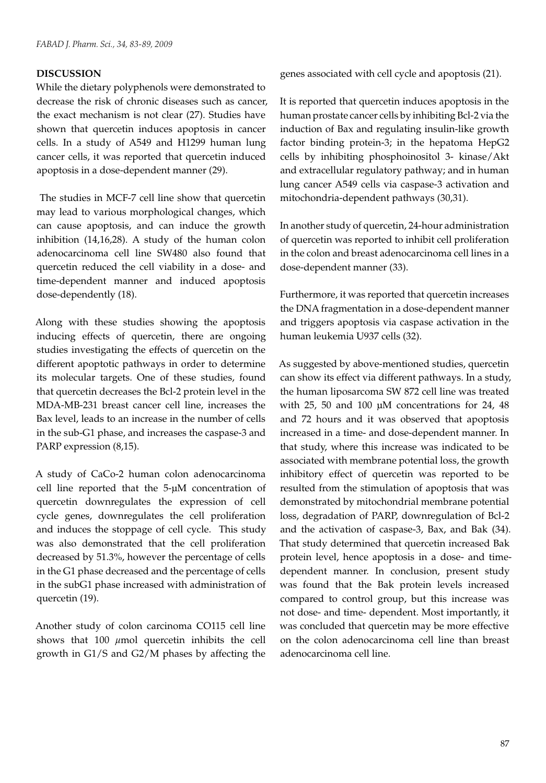# **DISCUSSION**

While the dietary polyphenols were demonstrated to decrease the risk of chronic diseases such as cancer, the exact mechanism is not clear (27). Studies have shown that quercetin induces apoptosis in cancer cells. In a study of A549 and H1299 human lung cancer cells, it was reported that quercetin induced apoptosis in a dose-dependent manner (29).

 The studies in MCF-7 cell line show that quercetin may lead to various morphological changes, which can cause apoptosis, and can induce the growth inhibition (14,16,28). A study of the human colon adenocarcinoma cell line SW480 also found that quercetin reduced the cell viability in a dose- and time-dependent manner and induced apoptosis dose-dependently (18).

Along with these studies showing the apoptosis inducing effects of quercetin, there are ongoing studies investigating the effects of quercetin on the different apoptotic pathways in order to determine its molecular targets. One of these studies, found that quercetin decreases the Bcl-2 protein level in the MDA-MB-231 breast cancer cell line, increases the Bax level, leads to an increase in the number of cells in the sub-G1 phase, and increases the caspase-3 and PARP expression (8,15).

A study of CaCo-2 human colon adenocarcinoma cell line reported that the 5-μM concentration of quercetin downregulates the expression of cell cycle genes, downregulates the cell proliferation and induces the stoppage of cell cycle. This study was also demonstrated that the cell proliferation decreased by 51.3%, however the percentage of cells in the G1 phase decreased and the percentage of cells in the subG1 phase increased with administration of quercetin (19).

Another study of colon carcinoma CO115 cell line shows that 100 *μ*mol quercetin inhibits the cell growth in G1/S and G2/M phases by affecting the

genes associated with cell cycle and apoptosis (21).

It is reported that quercetin induces apoptosis in the human prostate cancer cells by inhibiting Bcl-2 via the induction of Bax and regulating insulin-like growth factor binding protein-3; in the hepatoma HepG2 cells by inhibiting phosphoinositol 3- kinase/Akt and extracellular regulatory pathway; and in human lung cancer A549 cells via caspase-3 activation and mitochondria-dependent pathways (30,31).

In another study of quercetin, 24-hour administration of quercetin was reported to inhibit cell proliferation in the colon and breast adenocarcinoma cell lines in a dose-dependent manner (33).

Furthermore, it was reported that quercetin increases the DNA fragmentation in a dose-dependent manner and triggers apoptosis via caspase activation in the human leukemia U937 cells (32).

As suggested by above-mentioned studies, quercetin can show its effect via different pathways. In a study, the human liposarcoma SW 872 cell line was treated with 25, 50 and 100 µM concentrations for 24, 48 and 72 hours and it was observed that apoptosis increased in a time- and dose-dependent manner. In that study, where this increase was indicated to be associated with membrane potential loss, the growth inhibitory effect of quercetin was reported to be resulted from the stimulation of apoptosis that was demonstrated by mitochondrial membrane potential loss, degradation of PARP, downregulation of Bcl-2 and the activation of caspase-3, Bax, and Bak (34). That study determined that quercetin increased Bak protein level, hence apoptosis in a dose- and timedependent manner. In conclusion, present study was found that the Bak protein levels increased compared to control group, but this increase was not dose- and time- dependent. Most importantly, it was concluded that quercetin may be more effective on the colon adenocarcinoma cell line than breast adenocarcinoma cell line.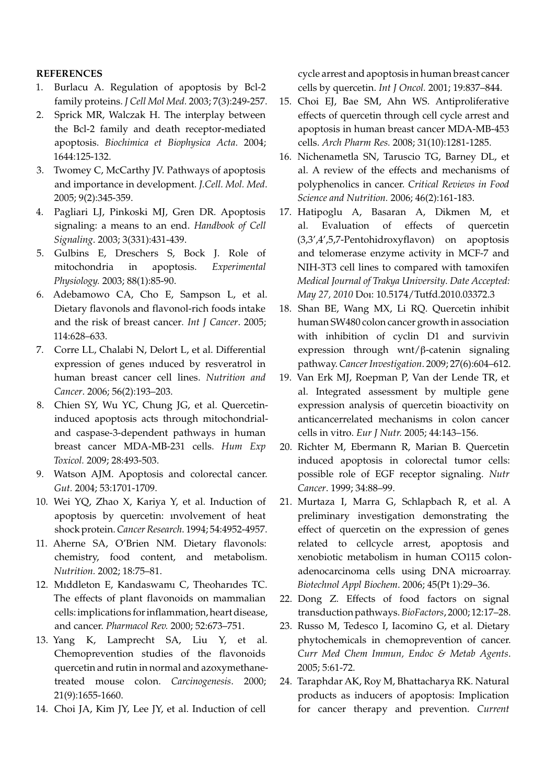## **REFERENCES**

- 1. Burlacu A. Regulation of apoptosis by Bcl-2 family proteins. *J Cell Mol Med.* 2003; 7(3):249-257.
- 2. Sprick MR, Walczak H. The interplay between the Bcl-2 family and death receptor-mediated apoptosis. *Biochimica et Biophysica Acta*. 2004; 1644:125-132.
- 3. Twomey C, McCarthy JV. Pathways of apoptosis and importance in development. *J.Cell. Mol. Med*. 2005; 9(2):345-359.
- 4. Pagliari LJ, Pinkoski MJ, Gren DR. Apoptosis signaling: a means to an end. *Handbook of Cell Signaling*. 2003; 3(331):431-439.
- 5. Gulbins E, Dreschers S, Bock J. Role of mitochondria in apoptosis. *Experimental Physiology.* 2003; 88(1):85-90.
- 6. Adebamowo CA, Cho E, Sampson L, et al. Dietary flavonols and flavonol-rich foods intake and the risk of breast cancer*. Int J Cancer*. 2005; 114:628–633.
- 7. Corre LL, Chalabi N, Delort L, et al. Differential expression of genes ınduced by resveratrol in human breast cancer cell lines. *Nutrition and Cancer*. 2006; 56(2):193–203.
- 8. Chien SY, Wu YC, Chung JG, et al. Quercetininduced apoptosis acts through mitochondrialand caspase-3-dependent pathways in human breast cancer MDA-MB-231 cells. *Hum Exp Toxicol.* 2009; 28:493-503.
- 9. Watson AJM. Apoptosis and colorectal cancer. *Gut.* 2004; 53:1701-1709.
- 10. Wei YQ, Zhao X, Kariya Y, et al. Induction of apoptosis by quercetin: ınvolvement of heat shock protein. *Cancer Research*. 1994; 54:4952-4957.
- 11. Aherne SA, O'Brien NM. Dietary flavonols: chemistry, food content, and metabolism. *Nutrition.* 2002; 18:75–81.
- 12. Mıddleton E, Kandaswamı C, Theoharıdes TC. The effects of plant flavonoids on mammalian cells: implications for inflammation, heart disease, and cancer. *Pharmacol Rev.* 2000; 52:673–751.
- 13. Yang K, Lamprecht SA, Liu Y, et al. Chemoprevention studies of the flavonoids quercetin and rutin in normal and azoxymethanetreated mouse colon. *Carcinogenesis*. 2000; 21(9):1655-1660.
- 14. Choi JA, Kim JY, Lee JY, et al. Induction of cell

cycle arrest and apoptosis in human breast cancer cells by quercetin. *Int J Oncol.* 2001; 19:837–844.

- 15. Choi EJ, Bae SM, Ahn WS. Antiproliferative effects of quercetin through cell cycle arrest and apoptosis in human breast cancer MDA-MB-453 cells. *Arch Pharm Res.* 2008; 31(10):1281-1285.
- 16. Nichenametla SN, Taruscio TG, Barney DL, et al. A review of the effects and mechanisms of polyphenolics in cancer. *Critical Reviews in Food Science and Nutrition.* 2006; 46(2):161-183.
- 17. Hatipoglu A, Basaran A, Dikmen M, et al. Evaluation of effects of quercetin (3,3',4',5,7-Pentohidroxyflavon) on apoptosis and telomerase enzyme activity in MCF-7 and NIH-3T3 cell lines to compared with tamoxifen *Medical Journal of Trakya University*. *Date Accepted: May 27, 2010* Doı: 10.5174/Tutfd.2010.03372.3
- 18. Shan BE, Wang MX, Li RQ. Quercetin inhibit human SW480 colon cancer growth in association with inhibition of cyclin D1 and survivin expression through wnt/β-catenin signaling pathway. *Cancer Investigation*. 2009; 27(6):604–612.
- 19. Van Erk MJ, Roepman P, Van der Lende TR, et al. Integrated assessment by multiple gene expression analysis of quercetin bioactivity on anticancerrelated mechanisms in colon cancer cells in vitro. *Eur J Nutr.* 2005; 44:143–156.
- 20. Richter M, Ebermann R, Marian B. Quercetin induced apoptosis in colorectal tumor cells: possible role of EGF receptor signaling. *Nutr Cancer*. 1999; 34:88–99.
- 21. Murtaza I, Marra G, Schlapbach R, et al. A preliminary investigation demonstrating the effect of quercetin on the expression of genes related to cellcycle arrest, apoptosis and xenobiotic metabolism in human CO115 colonadenocarcinoma cells using DNA microarray. *Biotechnol Appl Biochem*. 2006; 45(Pt 1):29–36.
- 22. Dong Z. Effects of food factors on signal transduction pathways. *BioFactors*, 2000; 12:17–28.
- 23. Russo M, Tedesco I, Iacomino G, et al. Dietary phytochemicals in chemoprevention of cancer. *Curr Med Chem Immun, Endoc & Metab Agents*. 2005; 5:61-72.
- 24. Taraphdar AK, Roy M, Bhattacharya RK. Natural products as inducers of apoptosis: Implication for cancer therapy and prevention. *Current*